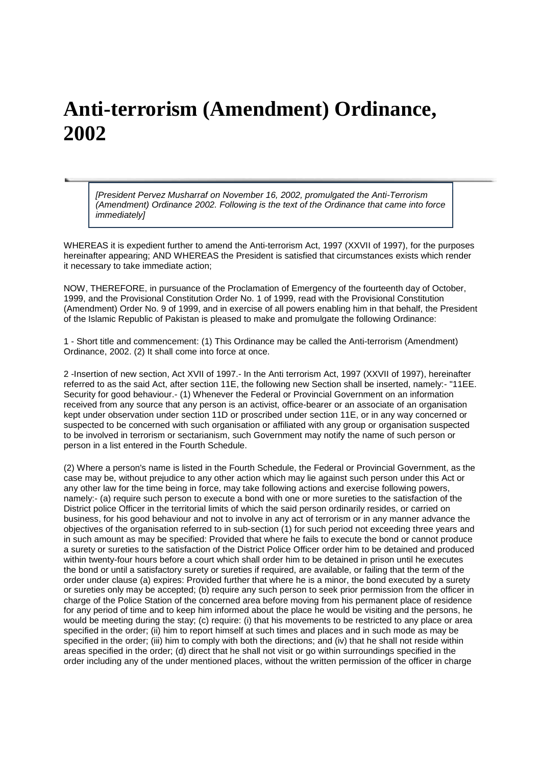## **Anti-terrorism (Amendment) Ordinance, 2002**

[President Pervez Musharraf on November 16, 2002, promulgated the Anti-Terrorism (Amendment) Ordinance 2002. Following is the text of the Ordinance that came into force *immediatelyl* 

WHEREAS it is expedient further to amend the Anti-terrorism Act, 1997 (XXVII of 1997), for the purposes hereinafter appearing; AND WHEREAS the President is satisfied that circumstances exists which render it necessary to take immediate action;

NOW, THEREFORE, in pursuance of the Proclamation of Emergency of the fourteenth day of October, 1999, and the Provisional Constitution Order No. 1 of 1999, read with the Provisional Constitution (Amendment) Order No. 9 of 1999, and in exercise of all powers enabling him in that behalf, the President of the Islamic Republic of Pakistan is pleased to make and promulgate the following Ordinance:

1 - Short title and commencement: (1) This Ordinance may be called the Anti-terrorism (Amendment) Ordinance, 2002. (2) It shall come into force at once.

2 -Insertion of new section, Act XVII of 1997.- In the Anti terrorism Act, 1997 (XXVII of 1997), hereinafter referred to as the said Act, after section 11E, the following new Section shall be inserted, namely:- "11EE. Security for good behaviour.- (1) Whenever the Federal or Provincial Government on an information received from any source that any person is an activist, office-bearer or an associate of an organisation kept under observation under section 11D or proscribed under section 11E, or in any way concerned or suspected to be concerned with such organisation or affiliated with any group or organisation suspected to be involved in terrorism or sectarianism, such Government may notify the name of such person or person in a list entered in the Fourth Schedule.

(2) Where a person's name is listed in the Fourth Schedule, the Federal or Provincial Government, as the case may be, without prejudice to any other action which may lie against such person under this Act or any other law for the time being in force, may take following actions and exercise following powers, namely:- (a) require such person to execute a bond with one or more sureties to the satisfaction of the District police Officer in the territorial limits of which the said person ordinarily resides, or carried on business, for his good behaviour and not to involve in any act of terrorism or in any manner advance the objectives of the organisation referred to in sub-section (1) for such period not exceeding three years and in such amount as may be specified: Provided that where he fails to execute the bond or cannot produce a surety or sureties to the satisfaction of the District Police Officer order him to be detained and produced within twenty-four hours before a court which shall order him to be detained in prison until he executes the bond or until a satisfactory surety or sureties if required, are available, or failing that the term of the order under clause (a) expires: Provided further that where he is a minor, the bond executed by a surety or sureties only may be accepted; (b) require any such person to seek prior permission from the officer in charge of the Police Station of the concerned area before moving from his permanent place of residence for any period of time and to keep him informed about the place he would be visiting and the persons, he would be meeting during the stay; (c) require: (i) that his movements to be restricted to any place or area specified in the order; (ii) him to report himself at such times and places and in such mode as may be specified in the order; (iii) him to comply with both the directions; and (iv) that he shall not reside within areas specified in the order; (d) direct that he shall not visit or go within surroundings specified in the order including any of the under mentioned places, without the written permission of the officer in charge